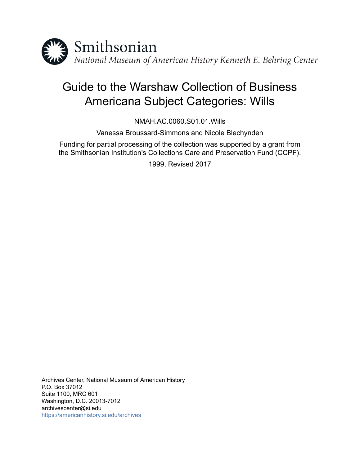

# Guide to the Warshaw Collection of Business Americana Subject Categories: Wills

NMAH.AC.0060.S01.01.Wills

Vanessa Broussard-Simmons and Nicole Blechynden

Funding for partial processing of the collection was supported by a grant from the Smithsonian Institution's Collections Care and Preservation Fund (CCPF).

1999, Revised 2017

Archives Center, National Museum of American History P.O. Box 37012 Suite 1100, MRC 601 Washington, D.C. 20013-7012 archivescenter@si.edu <https://americanhistory.si.edu/archives>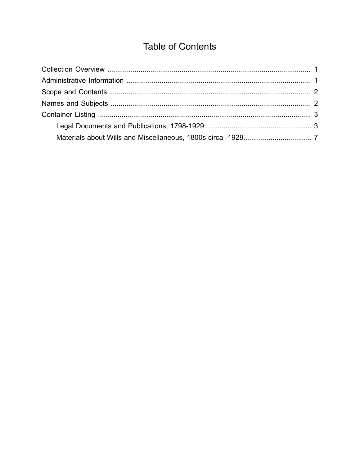## **Table of Contents**

<span id="page-1-0"></span>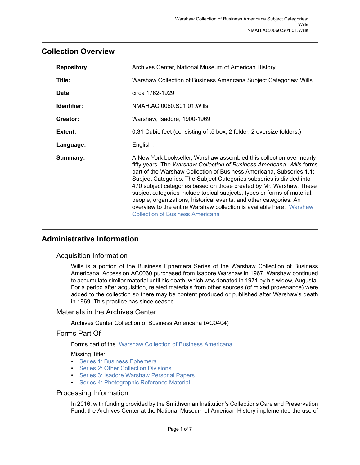## <span id="page-2-0"></span>**Collection Overview**

| <b>Repository:</b> | Archives Center, National Museum of American History                                                                                                                                                                                                                                                                                                                                                                                                                                                                                                                                                                                       |  |  |  |
|--------------------|--------------------------------------------------------------------------------------------------------------------------------------------------------------------------------------------------------------------------------------------------------------------------------------------------------------------------------------------------------------------------------------------------------------------------------------------------------------------------------------------------------------------------------------------------------------------------------------------------------------------------------------------|--|--|--|
| Title:             | Warshaw Collection of Business Americana Subject Categories: Wills                                                                                                                                                                                                                                                                                                                                                                                                                                                                                                                                                                         |  |  |  |
| Date:              | circa 1762-1929                                                                                                                                                                                                                                                                                                                                                                                                                                                                                                                                                                                                                            |  |  |  |
| Identifier:        | NMAH.AC.0060.S01.01. Wills                                                                                                                                                                                                                                                                                                                                                                                                                                                                                                                                                                                                                 |  |  |  |
| Creator:           | Warshaw, Isadore, 1900-1969                                                                                                                                                                                                                                                                                                                                                                                                                                                                                                                                                                                                                |  |  |  |
| Extent:            | 0.31 Cubic feet (consisting of .5 box, 2 folder, 2 oversize folders.)                                                                                                                                                                                                                                                                                                                                                                                                                                                                                                                                                                      |  |  |  |
| Language:          | English.                                                                                                                                                                                                                                                                                                                                                                                                                                                                                                                                                                                                                                   |  |  |  |
| Summary:           | A New York bookseller, Warshaw assembled this collection over nearly<br>fifty years. The Warshaw Collection of Business Americana: Wills forms<br>part of the Warshaw Collection of Business Americana, Subseries 1.1:<br>Subject Categories. The Subject Categories subseries is divided into<br>470 subject categories based on those created by Mr. Warshaw. These<br>subject categories include topical subjects, types or forms of material,<br>people, organizations, historical events, and other categories. An<br>overview to the entire Warshaw collection is available here: Warshaw<br><b>Collection of Business Americana</b> |  |  |  |

## <span id="page-2-1"></span>**Administrative Information**

### Acquisition Information

Wills is a portion of the Business Ephemera Series of the Warshaw Collection of Business Americana, Accession AC0060 purchased from Isadore Warshaw in 1967. Warshaw continued to accumulate similar material until his death, which was donated in 1971 by his widow, Augusta. For a period after acquisition, related materials from other sources (of mixed provenance) were added to the collection so there may be content produced or published after Warshaw's death in 1969. This practice has since ceased.

#### Materials in the Archives Center

Archives Center Collection of Business Americana (AC0404)

### Forms Part Of

Forms part of the Warshaw Collection of Business [Americana](http://sova.si.edu/record/NMAH.AC.0060) .

#### Missing Title:

- [Series 1: Business Ephemera](http://sova.si.edu/record/NMAH.AC.0060.S01)
- [Series 2: Other Collection Divisions](http://sova.si.edu/record/NMAH.AC.0060.S02)
- Series 3: Isadore [Warshaw](http://sova.si.edu/record/NMAH.AC.0060.S03) Personal Papers
- [Series 4: Photographic Reference Material](http://sova.si.edu/record/NMAH.AC.0060.S04)

#### Processing Information

In 2016, with funding provided by the Smithsonian Institution's Collections Care and Preservation Fund, the Archives Center at the National Museum of American History implemented the use of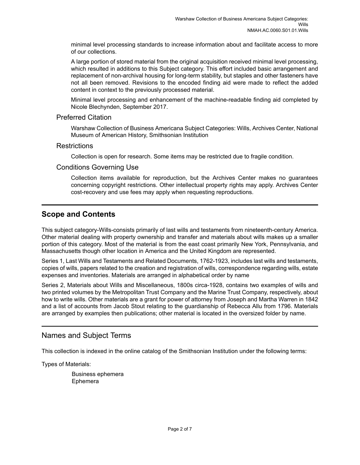minimal level processing standards to increase information about and facilitate access to more of our collections.

A large portion of stored material from the original acquisition received minimal level processing, which resulted in additions to this Subject category. This effort included basic arrangement and replacement of non-archival housing for long-term stability, but staples and other fasteners have not all been removed. Revisions to the encoded finding aid were made to reflect the added content in context to the previously processed material.

Minimal level processing and enhancement of the machine-readable finding aid completed by Nicole Blechynden, September 2017.

#### Preferred Citation

Warshaw Collection of Business Americana Subject Categories: Wills, Archives Center, National Museum of American History, Smithsonian Institution

#### **Restrictions**

Collection is open for research. Some items may be restricted due to fragile condition.

#### Conditions Governing Use

Collection items available for reproduction, but the Archives Center makes no guarantees concerning copyright restrictions. Other intellectual property rights may apply. Archives Center cost-recovery and use fees may apply when requesting reproductions.

## <span id="page-3-0"></span>**Scope and Contents**

This subject category-Wills-consists primarily of last wills and testaments from nineteenth-century America. Other material dealing with property ownership and transfer and materials about wills makes up a smaller portion of this category. Most of the material is from the east coast primarily New York, Pennsylvania, and Massachusetts though other location in America and the United Kingdom are represented.

Series 1, Last Wills and Testaments and Related Documents, 1762-1923, includes last wills and testaments, copies of wills, papers related to the creation and registration of wills, correspondence regarding wills, estate expenses and inventories. Materials are arranged in alphabetical order by name

Series 2, Materials about Wills and Miscellaneous, 1800s circa-1928, contains two examples of wills and two printed volumes by the Metropolitan Trust Company and the Marine Trust Company, respectively, about how to write wills. Other materials are a grant for power of attorney from Joseph and Martha Warren in 1842 and a list of accounts from Jacob Stout relating to the guardianship of Rebecca Allu from 1796. Materials are arranged by examples then publications; other material is located in the oversized folder by name.

## <span id="page-3-1"></span>Names and Subject Terms

This collection is indexed in the online catalog of the Smithsonian Institution under the following terms:

Types of Materials:

Business ephemera Ephemera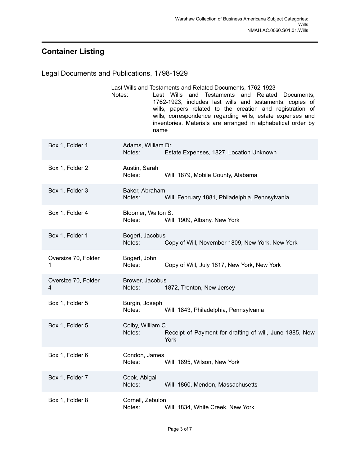## <span id="page-4-0"></span>**Container Listing**

<span id="page-4-1"></span>

| Legal Documents and Publications, 1798-1929 |                                                                                                                                                                                                                                                                                                                                                                                               |  |  |  |
|---------------------------------------------|-----------------------------------------------------------------------------------------------------------------------------------------------------------------------------------------------------------------------------------------------------------------------------------------------------------------------------------------------------------------------------------------------|--|--|--|
|                                             | Last Wills and Testaments and Related Documents, 1762-1923<br>and Testaments and Related<br>Last Wills<br>Notes:<br>Documents,<br>1762-1923, includes last wills and testaments, copies of<br>wills, papers related to the creation and registration of<br>wills, correspondence regarding wills, estate expenses and<br>inventories. Materials are arranged in alphabetical order by<br>name |  |  |  |
| Box 1, Folder 1                             | Adams, William Dr.<br>Estate Expenses, 1827, Location Unknown<br>Notes:                                                                                                                                                                                                                                                                                                                       |  |  |  |
| Box 1, Folder 2                             | Austin, Sarah<br>Notes:<br>Will, 1879, Mobile County, Alabama                                                                                                                                                                                                                                                                                                                                 |  |  |  |
| Box 1, Folder 3                             | Baker, Abraham<br>Notes:<br>Will, February 1881, Philadelphia, Pennsylvania                                                                                                                                                                                                                                                                                                                   |  |  |  |
| Box 1, Folder 4                             | Bloomer, Walton S.<br>Notes:<br>Will, 1909, Albany, New York                                                                                                                                                                                                                                                                                                                                  |  |  |  |
| Box 1, Folder 1                             | Bogert, Jacobus<br>Notes:<br>Copy of Will, November 1809, New York, New York                                                                                                                                                                                                                                                                                                                  |  |  |  |
| Oversize 70, Folder<br>1                    | Bogert, John<br>Notes:<br>Copy of Will, July 1817, New York, New York                                                                                                                                                                                                                                                                                                                         |  |  |  |
| Oversize 70, Folder<br>4                    | Brower, Jacobus<br>1872, Trenton, New Jersey<br>Notes: Notes:                                                                                                                                                                                                                                                                                                                                 |  |  |  |
| Box 1, Folder 5                             | Burgin, Joseph<br>Notes:<br>Will, 1843, Philadelphia, Pennsylvania                                                                                                                                                                                                                                                                                                                            |  |  |  |
| Box 1, Folder 5                             | Colby, William C.<br>Receipt of Payment for drafting of will, June 1885, New<br>Notes:<br>York                                                                                                                                                                                                                                                                                                |  |  |  |
| Box 1, Folder 6                             | Condon, James<br>Notes:<br>Will, 1895, Wilson, New York                                                                                                                                                                                                                                                                                                                                       |  |  |  |
| Box 1, Folder 7                             | Cook, Abigail<br>Notes:<br>Will, 1860, Mendon, Massachusetts                                                                                                                                                                                                                                                                                                                                  |  |  |  |
| Box 1, Folder 8                             | Cornell, Zebulon<br>Will, 1834, White Creek, New York<br>Notes:                                                                                                                                                                                                                                                                                                                               |  |  |  |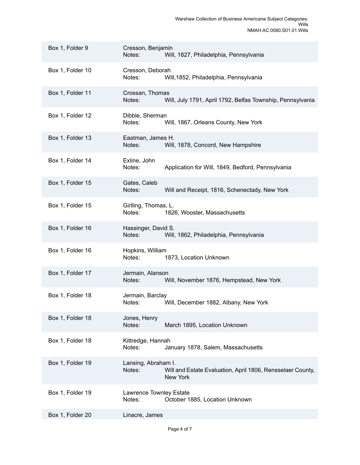| Box 1, Folder 9  | Cresson, Benjamin<br>Notes:<br>Will, 1827, Philadelphia, Pennsylvania                                          |  |
|------------------|----------------------------------------------------------------------------------------------------------------|--|
| Box 1, Folder 10 | Cresson, Deborah<br>Notes:<br>Will, 1852, Philadelphia, Pennsylvania                                           |  |
| Box 1, Folder 11 | Crossan, Thomas<br>Will, July 1791, April 1792, Belfas Township, Pennsylvania<br>Notes:                        |  |
| Box 1, Folder 12 | Dibble, Sherman<br>Notes:<br>Will, 1867, Orleans County, New York                                              |  |
| Box 1, Folder 13 | Eastman, James H.<br>Notes:<br>Will, 1878, Concord, New Hampshire                                              |  |
| Box 1, Folder 14 | Exline, John<br>Notes:<br>Application for Will, 1849, Bedford, Pennsylvania                                    |  |
| Box 1, Folder 15 | Gates, Caleb<br>Will and Receipt, 1816, Schenectady, New York<br>Notes:                                        |  |
| Box 1, Folder 15 | Girlling, Thomas, L.<br>Notes:<br>1826, Wooster, Massachusetts                                                 |  |
| Box 1, Folder 16 | Hassinger, David S.<br>Notes:<br>Will, 1862, Philadelphia, Pennsylvania                                        |  |
| Box 1, Folder 16 | Hopkins, William<br>Notes:<br>1873, Location Unknown                                                           |  |
| Box 1, Folder 17 | Jermain, Alanson<br>Will, November 1876, Hempstead, New York<br>Notes:                                         |  |
| Box 1, Folder 18 | Jermain, Barclay<br>Will, December 1882, Albany, New York<br>Notes:                                            |  |
| Box 1, Folder 18 | Jones, Henry<br>Notes:<br>March 1895, Location Unknown                                                         |  |
| Box 1, Folder 18 | Kittredge, Hannah<br>Notes:<br>January 1878, Salem, Massachusetts                                              |  |
| Box 1, Folder 19 | Lansing, Abraham I.<br>Notes:<br>Will and Estate Evaluation, April 1806, Rensselaer County,<br><b>New York</b> |  |
| Box 1, Folder 19 | Lawrence Townley Estate<br>October 1885, Location Unknown<br>Notes:                                            |  |
| Box 1, Folder 20 | Linacre, James                                                                                                 |  |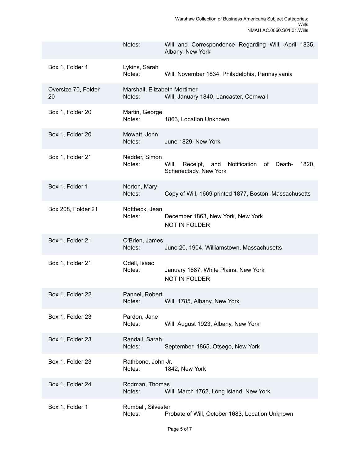|                           | Notes:                                 | Will and Correspondence Regarding Will, April 1835,<br>Albany, New York                    |
|---------------------------|----------------------------------------|--------------------------------------------------------------------------------------------|
| Box 1, Folder 1           | Lykins, Sarah<br>Notes:                | Will, November 1834, Philadelphia, Pennsylvania                                            |
| Oversize 70, Folder<br>20 | Marshall, Elizabeth Mortimer<br>Notes: | Will, January 1840, Lancaster, Cornwall                                                    |
| Box 1, Folder 20          | Martin, George<br>Notes:               | 1863, Location Unknown                                                                     |
| Box 1, Folder 20          | Mowatt, John<br>Notes:                 | June 1829, New York                                                                        |
| Box 1, Folder 21          | Nedder, Simon<br>Notes:                | 1820,<br>Will,<br>Receipt,<br>and<br>Notification<br>Death-<br>of<br>Schenectady, New York |
| Box 1, Folder 1           | Norton, Mary<br>Notes:                 | Copy of Will, 1669 printed 1877, Boston, Massachusetts                                     |
| Box 208, Folder 21        | Nottbeck, Jean<br>Notes:               | December 1863, New York, New York<br><b>NOT IN FOLDER</b>                                  |
| Box 1, Folder 21          | O'Brien, James<br>Notes:               | June 20, 1904, Williamstown, Massachusetts                                                 |
| Box 1, Folder 21          | Odell, Isaac<br>Notes:                 | January 1887, White Plains, New York<br><b>NOT IN FOLDER</b>                               |
| Box 1, Folder 22          | Pannel, Robert<br>Notes:               | Will, 1785, Albany, New York                                                               |
| Box 1, Folder 23          | Pardon, Jane<br>Notes:                 | Will, August 1923, Albany, New York                                                        |
| Box 1, Folder 23          | Randall, Sarah<br>Notes:               | September, 1865, Otsego, New York                                                          |
| Box 1, Folder 23          | Rathbone, John Jr.<br>Notes:           | 1842, New York                                                                             |
| Box 1, Folder 24          | Rodman, Thomas<br>Notes:               | Will, March 1762, Long Island, New York                                                    |
| Box 1, Folder 1           | Rumball, Silvester<br>Notes:           | Probate of Will, October 1683, Location Unknown                                            |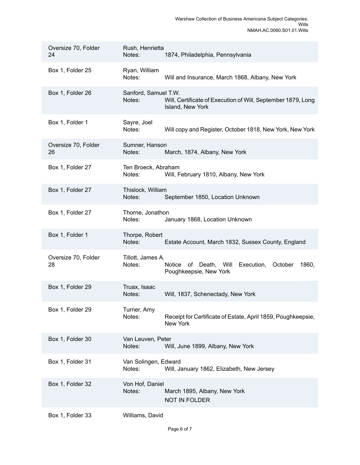| Oversize 70, Folder<br>24 | Rush, Henrietta<br>Notes:      | 1874, Philadelphia, Pennsylvania                                                  |
|---------------------------|--------------------------------|-----------------------------------------------------------------------------------|
| Box 1, Folder 25          | Ryan, William<br>Notes:        | Will and Insurance, March 1868, Albany, New York                                  |
| Box 1, Folder 26          | Sanford, Samuel T.W.<br>Notes: | Will, Certificate of Execution of Will, September 1879, Long<br>Island, New York  |
| Box 1, Folder 1           | Sayre, Joel<br>Notes:          | Will copy and Register, October 1818, New York, New York                          |
| Oversize 70, Folder<br>26 | Sumner, Hanson<br>Notes:       | March, 1874, Albany, New York                                                     |
| Box 1, Folder 27          | Ten Broeck, Abraham<br>Notes:  | Will, February 1810, Albany, New York                                             |
| Box 1, Folder 27          | Thislock, William<br>Notes:    | September 1850, Location Unknown                                                  |
| Box 1, Folder 27          | Thorne, Jonathon<br>Notes:     | January 1868, Location Unknown                                                    |
| Box 1, Folder 1           | Thorpe, Robert<br>Notes:       | Estate Account, March 1832, Sussex County, England                                |
| Oversize 70, Folder<br>28 | Tillott, James A.<br>Notes:    | Will Execution,<br>Notice of Death,<br>October<br>1860,<br>Poughkeepsie, New York |
| Box 1, Folder 29          | Truax, Isaac<br>Notes:         | Will, 1837, Schenectady, New York                                                 |
| Box 1, Folder 29          | Turner, Amy<br>Notes:          | Receipt for Certificate of Estate, April 1859, Poughkeepsie,<br>New York          |
| Box 1, Folder 30          | Van Leuven, Peter<br>Notes:    | Will, June 1899, Albany, New York                                                 |
| Box 1, Folder 31          | Van Solingen, Edward<br>Notes: | Will, January 1862, Elizabeth, New Jersey                                         |
| Box 1, Folder 32          | Von Hof, Daniel<br>Notes:      | March 1895, Albany, New York<br><b>NOT IN FOLDER</b>                              |
| Box 1, Folder 33          | Williams, David                |                                                                                   |